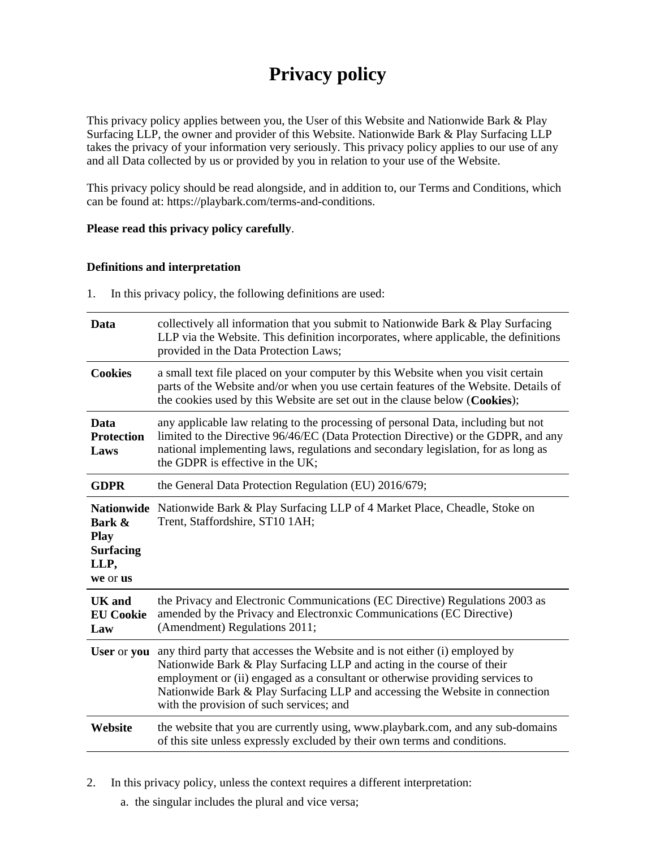# **Privacy policy**

This privacy policy applies between you, the User of this Website and Nationwide Bark & Play Surfacing LLP, the owner and provider of this Website. Nationwide Bark & Play Surfacing LLP takes the privacy of your information very seriously. This privacy policy applies to our use of any and all Data collected by us or provided by you in relation to your use of the Website.

This privacy policy should be read alongside, and in addition to, our Terms and Conditions, which can be found at: https://playbark.com/terms-and-conditions.

#### **Please read this privacy policy carefully**.

#### **Definitions and interpretation**

1. In this privacy policy, the following definitions are used:

| Data                                                                               | collectively all information that you submit to Nationwide Bark & Play Surfacing<br>LLP via the Website. This definition incorporates, where applicable, the definitions<br>provided in the Data Protection Laws;                                                                                                                                                  |
|------------------------------------------------------------------------------------|--------------------------------------------------------------------------------------------------------------------------------------------------------------------------------------------------------------------------------------------------------------------------------------------------------------------------------------------------------------------|
| <b>Cookies</b>                                                                     | a small text file placed on your computer by this Website when you visit certain<br>parts of the Website and/or when you use certain features of the Website. Details of<br>the cookies used by this Website are set out in the clause below (Cookies);                                                                                                            |
| Data<br><b>Protection</b><br>Laws                                                  | any applicable law relating to the processing of personal Data, including but not<br>limited to the Directive 96/46/EC (Data Protection Directive) or the GDPR, and any<br>national implementing laws, regulations and secondary legislation, for as long as<br>the GDPR is effective in the UK;                                                                   |
| <b>GDPR</b>                                                                        | the General Data Protection Regulation (EU) 2016/679;                                                                                                                                                                                                                                                                                                              |
| <b>Nationwide</b><br>Bark &<br><b>Play</b><br><b>Surfacing</b><br>LLP,<br>we or us | Nationwide Bark & Play Surfacing LLP of 4 Market Place, Cheadle, Stoke on<br>Trent, Staffordshire, ST10 1AH;                                                                                                                                                                                                                                                       |
| <b>UK</b> and<br><b>EU Cookie</b><br>Law                                           | the Privacy and Electronic Communications (EC Directive) Regulations 2003 as<br>amended by the Privacy and Electronxic Communications (EC Directive)<br>(Amendment) Regulations 2011;                                                                                                                                                                              |
| User or you                                                                        | any third party that accesses the Website and is not either (i) employed by<br>Nationwide Bark & Play Surfacing LLP and acting in the course of their<br>employment or (ii) engaged as a consultant or otherwise providing services to<br>Nationwide Bark & Play Surfacing LLP and accessing the Website in connection<br>with the provision of such services; and |
| Website                                                                            | the website that you are currently using, www.playbark.com, and any sub-domains<br>of this site unless expressly excluded by their own terms and conditions.                                                                                                                                                                                                       |

2. In this privacy policy, unless the context requires a different interpretation:

a. the singular includes the plural and vice versa;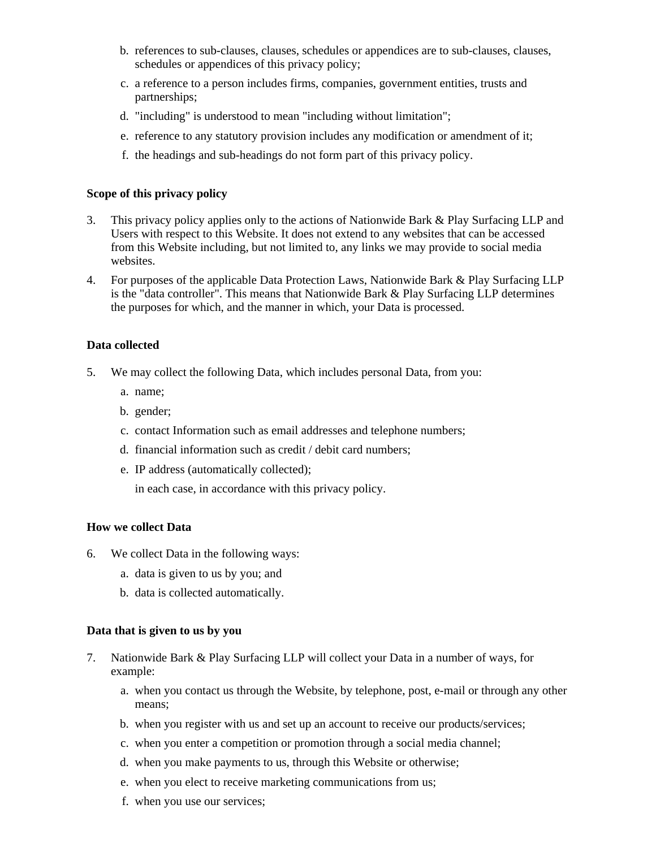- b. references to sub-clauses, clauses, schedules or appendices are to sub-clauses, clauses, schedules or appendices of this privacy policy;
- c. a reference to a person includes firms, companies, government entities, trusts and partnerships;
- d. "including" is understood to mean "including without limitation";
- e. reference to any statutory provision includes any modification or amendment of it;
- f. the headings and sub-headings do not form part of this privacy policy.

#### **Scope of this privacy policy**

- 3. This privacy policy applies only to the actions of Nationwide Bark & Play Surfacing LLP and Users with respect to this Website. It does not extend to any websites that can be accessed from this Website including, but not limited to, any links we may provide to social media websites.
- 4. For purposes of the applicable Data Protection Laws, Nationwide Bark & Play Surfacing LLP is the "data controller". This means that Nationwide Bark & Play Surfacing LLP determines the purposes for which, and the manner in which, your Data is processed.

# **Data collected**

- 5. We may collect the following Data, which includes personal Data, from you:
	- a. name;
	- b. gender;
	- c. contact Information such as email addresses and telephone numbers;
	- d. financial information such as credit / debit card numbers;
	- e. IP address (automatically collected);

in each case, in accordance with this privacy policy.

#### **How we collect Data**

- 6. We collect Data in the following ways:
	- a. data is given to us by you; and
	- b. data is collected automatically.

#### **Data that is given to us by you**

- 7. Nationwide Bark & Play Surfacing LLP will collect your Data in a number of ways, for example:
	- a. when you contact us through the Website, by telephone, post, e-mail or through any other means;
	- b. when you register with us and set up an account to receive our products/services;
	- c. when you enter a competition or promotion through a social media channel;
	- d. when you make payments to us, through this Website or otherwise;
	- e. when you elect to receive marketing communications from us;
	- f. when you use our services;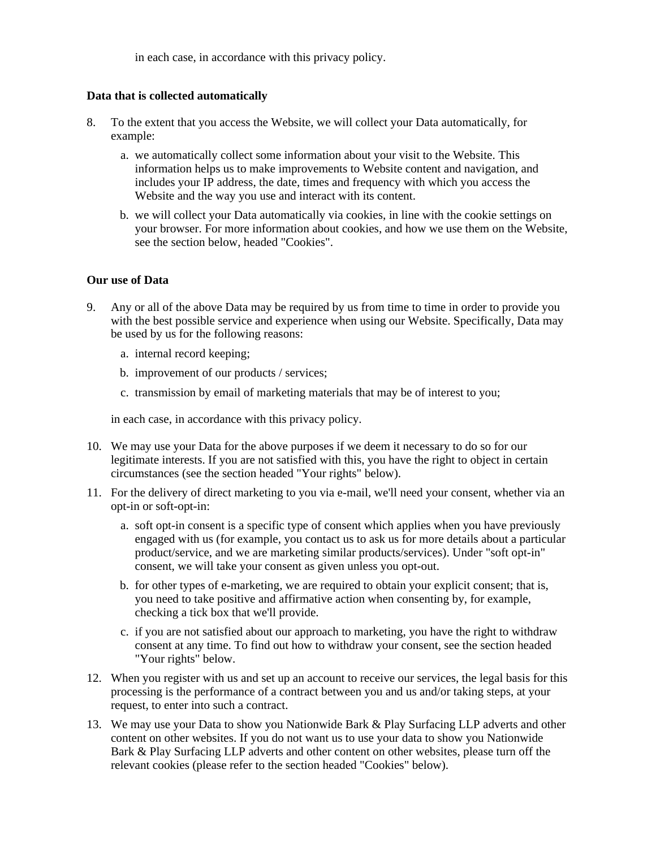in each case, in accordance with this privacy policy.

#### **Data that is collected automatically**

- 8. To the extent that you access the Website, we will collect your Data automatically, for example:
	- a. we automatically collect some information about your visit to the Website. This information helps us to make improvements to Website content and navigation, and includes your IP address, the date, times and frequency with which you access the Website and the way you use and interact with its content.
	- b. we will collect your Data automatically via cookies, in line with the cookie settings on your browser. For more information about cookies, and how we use them on the Website, see the section below, headed "Cookies".

# **Our use of Data**

- 9. Any or all of the above Data may be required by us from time to time in order to provide you with the best possible service and experience when using our Website. Specifically, Data may be used by us for the following reasons:
	- a. internal record keeping;
	- b. improvement of our products / services;
	- c. transmission by email of marketing materials that may be of interest to you;

in each case, in accordance with this privacy policy.

- 10. We may use your Data for the above purposes if we deem it necessary to do so for our legitimate interests. If you are not satisfied with this, you have the right to object in certain circumstances (see the section headed "Your rights" below).
- 11. For the delivery of direct marketing to you via e-mail, we'll need your consent, whether via an opt-in or soft-opt-in:
	- a. soft opt-in consent is a specific type of consent which applies when you have previously engaged with us (for example, you contact us to ask us for more details about a particular product/service, and we are marketing similar products/services). Under "soft opt-in" consent, we will take your consent as given unless you opt-out.
	- b. for other types of e-marketing, we are required to obtain your explicit consent; that is, you need to take positive and affirmative action when consenting by, for example, checking a tick box that we'll provide.
	- c. if you are not satisfied about our approach to marketing, you have the right to withdraw consent at any time. To find out how to withdraw your consent, see the section headed "Your rights" below.
- 12. When you register with us and set up an account to receive our services, the legal basis for this processing is the performance of a contract between you and us and/or taking steps, at your request, to enter into such a contract.
- 13. We may use your Data to show you Nationwide Bark & Play Surfacing LLP adverts and other content on other websites. If you do not want us to use your data to show you Nationwide Bark & Play Surfacing LLP adverts and other content on other websites, please turn off the relevant cookies (please refer to the section headed "Cookies" below).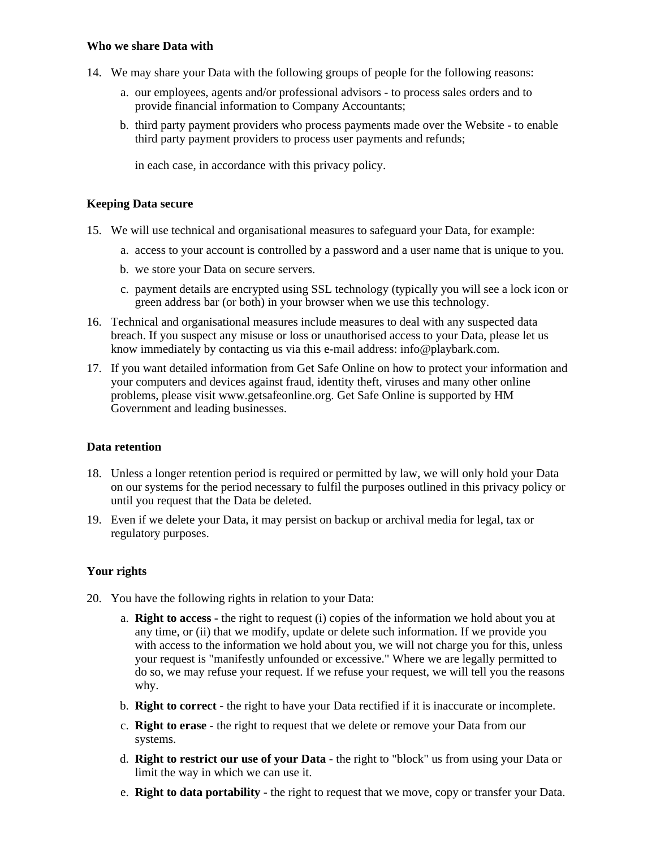#### **Who we share Data with**

- 14. We may share your Data with the following groups of people for the following reasons:
	- a. our employees, agents and/or professional advisors to process sales orders and to provide financial information to Company Accountants;
	- b. third party payment providers who process payments made over the Website to enable third party payment providers to process user payments and refunds;

in each case, in accordance with this privacy policy.

#### **Keeping Data secure**

- 15. We will use technical and organisational measures to safeguard your Data, for example:
	- a. access to your account is controlled by a password and a user name that is unique to you.
	- b. we store your Data on secure servers.
	- c. payment details are encrypted using SSL technology (typically you will see a lock icon or green address bar (or both) in your browser when we use this technology.
- 16. Technical and organisational measures include measures to deal with any suspected data breach. If you suspect any misuse or loss or unauthorised access to your Data, please let us know immediately by contacting us via this e-mail address: info@playbark.com.
- 17. If you want detailed information from Get Safe Online on how to protect your information and your computers and devices against fraud, identity theft, viruses and many other online problems, please visit www.getsafeonline.org. Get Safe Online is supported by HM Government and leading businesses.

#### **Data retention**

- 18. Unless a longer retention period is required or permitted by law, we will only hold your Data on our systems for the period necessary to fulfil the purposes outlined in this privacy policy or until you request that the Data be deleted.
- 19. Even if we delete your Data, it may persist on backup or archival media for legal, tax or regulatory purposes.

#### **Your rights**

- 20. You have the following rights in relation to your Data:
	- a. **Right to access** the right to request (i) copies of the information we hold about you at any time, or (ii) that we modify, update or delete such information. If we provide you with access to the information we hold about you, we will not charge you for this, unless your request is "manifestly unfounded or excessive." Where we are legally permitted to do so, we may refuse your request. If we refuse your request, we will tell you the reasons why.
	- b. **Right to correct** the right to have your Data rectified if it is inaccurate or incomplete.
	- c. **Right to erase** the right to request that we delete or remove your Data from our systems.
	- d. **Right to restrict our use of your Data** the right to "block" us from using your Data or limit the way in which we can use it.
	- e. **Right to data portability** the right to request that we move, copy or transfer your Data.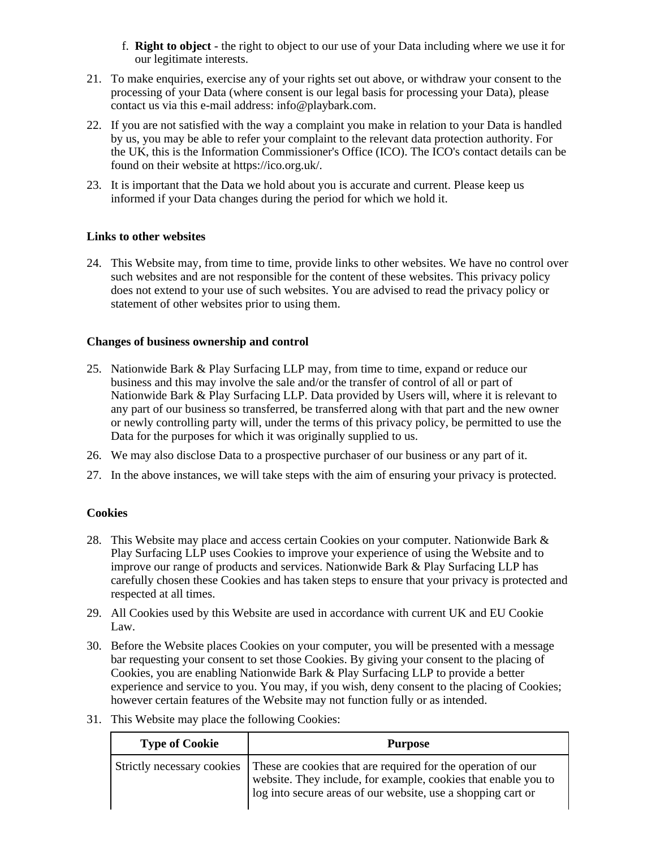- f. **Right to object** the right to object to our use of your Data including where we use it for our legitimate interests.
- 21. To make enquiries, exercise any of your rights set out above, or withdraw your consent to the processing of your Data (where consent is our legal basis for processing your Data), please contact us via this e-mail address: info@playbark.com.
- 22. If you are not satisfied with the way a complaint you make in relation to your Data is handled by us, you may be able to refer your complaint to the relevant data protection authority. For the UK, this is the Information Commissioner's Office (ICO). The ICO's contact details can be found on their website at https://ico.org.uk/.
- 23. It is important that the Data we hold about you is accurate and current. Please keep us informed if your Data changes during the period for which we hold it.

# **Links to other websites**

24. This Website may, from time to time, provide links to other websites. We have no control over such websites and are not responsible for the content of these websites. This privacy policy does not extend to your use of such websites. You are advised to read the privacy policy or statement of other websites prior to using them.

#### **Changes of business ownership and control**

- 25. Nationwide Bark & Play Surfacing LLP may, from time to time, expand or reduce our business and this may involve the sale and/or the transfer of control of all or part of Nationwide Bark & Play Surfacing LLP. Data provided by Users will, where it is relevant to any part of our business so transferred, be transferred along with that part and the new owner or newly controlling party will, under the terms of this privacy policy, be permitted to use the Data for the purposes for which it was originally supplied to us.
- 26. We may also disclose Data to a prospective purchaser of our business or any part of it.
- 27. In the above instances, we will take steps with the aim of ensuring your privacy is protected.

# **Cookies**

- 28. This Website may place and access certain Cookies on your computer. Nationwide Bark & Play Surfacing LLP uses Cookies to improve your experience of using the Website and to improve our range of products and services. Nationwide Bark & Play Surfacing LLP has carefully chosen these Cookies and has taken steps to ensure that your privacy is protected and respected at all times.
- 29. All Cookies used by this Website are used in accordance with current UK and EU Cookie Law.
- 30. Before the Website places Cookies on your computer, you will be presented with a message bar requesting your consent to set those Cookies. By giving your consent to the placing of Cookies, you are enabling Nationwide Bark & Play Surfacing LLP to provide a better experience and service to you. You may, if you wish, deny consent to the placing of Cookies; however certain features of the Website may not function fully or as intended.
	- **Type of Cookie Purpose** Strictly necessary cookies These are cookies that are required for the operation of our website. They include, for example, cookies that enable you to log into secure areas of our website, use a shopping cart or
- 31. This Website may place the following Cookies: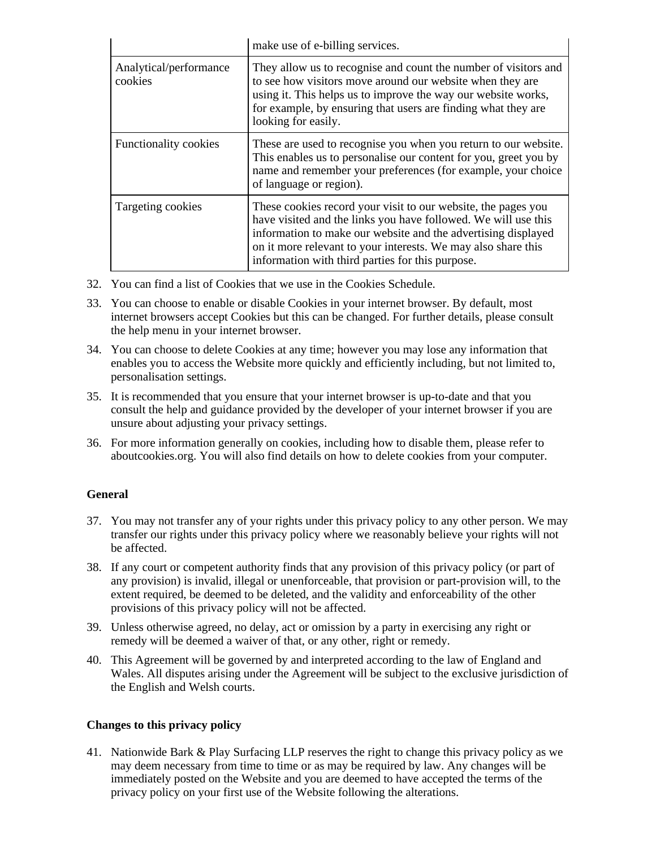|                                   | make use of e-billing services.                                                                                                                                                                                                                                                                                       |
|-----------------------------------|-----------------------------------------------------------------------------------------------------------------------------------------------------------------------------------------------------------------------------------------------------------------------------------------------------------------------|
| Analytical/performance<br>cookies | They allow us to recognise and count the number of visitors and<br>to see how visitors move around our website when they are<br>using it. This helps us to improve the way our website works,<br>for example, by ensuring that users are finding what they are<br>looking for easily.                                 |
| Functionality cookies             | These are used to recognise you when you return to our website.<br>This enables us to personalise our content for you, greet you by<br>name and remember your preferences (for example, your choice<br>of language or region).                                                                                        |
| Targeting cookies                 | These cookies record your visit to our website, the pages you<br>have visited and the links you have followed. We will use this<br>information to make our website and the advertising displayed<br>on it more relevant to your interests. We may also share this<br>information with third parties for this purpose. |

- 32. You can find a list of Cookies that we use in the Cookies Schedule.
- 33. You can choose to enable or disable Cookies in your internet browser. By default, most internet browsers accept Cookies but this can be changed. For further details, please consult the help menu in your internet browser.
- 34. You can choose to delete Cookies at any time; however you may lose any information that enables you to access the Website more quickly and efficiently including, but not limited to, personalisation settings.
- 35. It is recommended that you ensure that your internet browser is up-to-date and that you consult the help and guidance provided by the developer of your internet browser if you are unsure about adjusting your privacy settings.
- 36. For more information generally on cookies, including how to disable them, please refer to aboutcookies.org. You will also find details on how to delete cookies from your computer.

#### **General**

- 37. You may not transfer any of your rights under this privacy policy to any other person. We may transfer our rights under this privacy policy where we reasonably believe your rights will not be affected.
- 38. If any court or competent authority finds that any provision of this privacy policy (or part of any provision) is invalid, illegal or unenforceable, that provision or part-provision will, to the extent required, be deemed to be deleted, and the validity and enforceability of the other provisions of this privacy policy will not be affected.
- 39. Unless otherwise agreed, no delay, act or omission by a party in exercising any right or remedy will be deemed a waiver of that, or any other, right or remedy.
- 40. This Agreement will be governed by and interpreted according to the law of England and Wales. All disputes arising under the Agreement will be subject to the exclusive jurisdiction of the English and Welsh courts.

#### **Changes to this privacy policy**

41. Nationwide Bark & Play Surfacing LLP reserves the right to change this privacy policy as we may deem necessary from time to time or as may be required by law. Any changes will be immediately posted on the Website and you are deemed to have accepted the terms of the privacy policy on your first use of the Website following the alterations.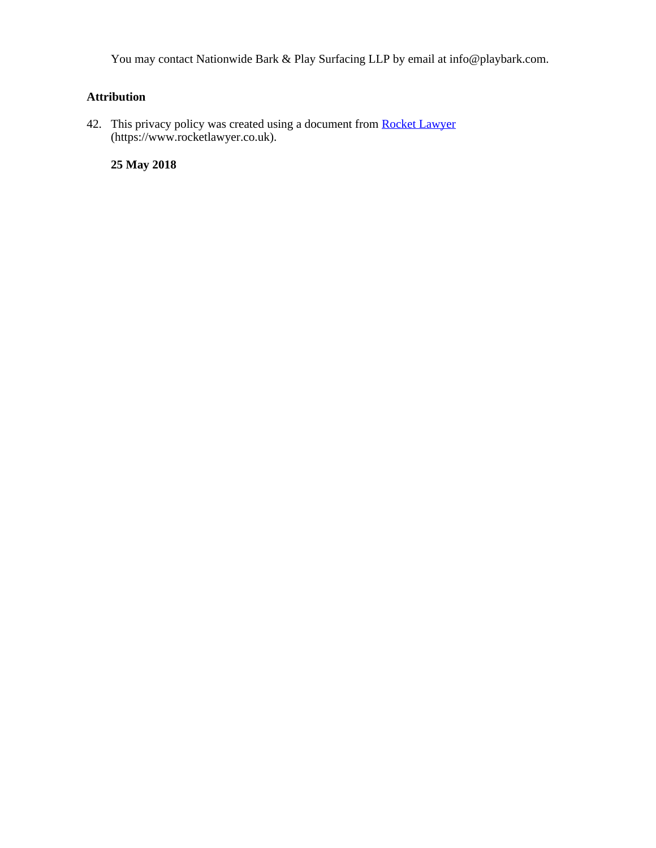You may contact Nationwide Bark & Play Surfacing LLP by email at info@playbark.com.

# **Attribution**

42. This privacy policy was created using a document from **Rocket Lawyer** (https://www.rocketlawyer.co.uk).

**25 May 2018**